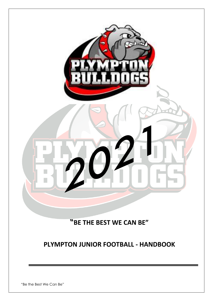

**"BE THE BEST WE CAN BE"**

## **PLYMPTON JUNIOR FOOTBALL - HANDBOOK**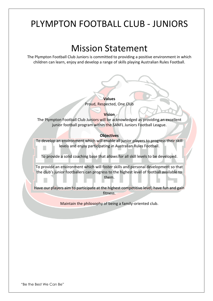# PLYMPTON FOOTBALL CLUB - JUNIORS

# Mission Statement

The Plympton Football Club Juniors is committed to providing a positive environment in which children can learn, enjoy and develop a range of skills playing Australian Rules Football.

#### **Values**

Proud, Respected, One Club

#### **Vision**

The Plympton Football Club Juniors will be acknowledged as providing an excellent junior football program within the SANFL Juniors Football League.

#### **Objectives**

To develop an environment which will enable all junior players to progress their skill levels and enjoy participating in Australian Rules Football. 

To provide a solid coaching base that allows for all skill levels to be developed.

To provide an environment which will foster skills and personal development so that the club's junior footballers can progress to the highest level of football available to them.

Have our players aim to participate at the highest competitive level, have fun and gain fitness.

Maintain the philosophy of being a family-oriented club.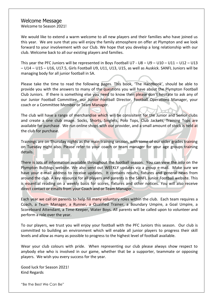#### Welcome Message

Welcome to Season 2021!

We would like to extend a warm welcome to all new players and their families who have joined us this year. We are sure that you will enjoy the family atmosphere on offer at Plympton and we look forward to your involvement with our Club. We hope that you develop a long relationship with our club. Welcome back to all our existing players and families.

This year the PFC Juniors will be represented in Boys Football U7 - U8 – U9 – U10 – U11 – U12 – U13 – U14 – U15 – U16, U17.5, Girls Football U9, U11, U13, U15, as well as Auskick. SANFL Juniors will be managing body for all junior football in SA.

Please take the time to read the following pages. This book, 'The Handbook', should be able to provide you with the answers to many of the questions you will have about the Plympton Football Club Juniors. If there is something else you need to know then please don't hesitate to ask any of our Junior Football Committee, our Junior Football Director, Football Operations Manager, your coach or a Committee Member or Team Manager.

The club will have a range of merchandise which will be consisitent for the Junior and Senior clubs and create a one club image. Socks, Shorts, Singlets, Polo Tops, Club Jackets, Training Tops are available for purchase. We run online shops with our provider, and a small amount of stock is held at the club for purchase.

Trainings are on Thursday nights as the main training session, with some of our older grades training on Tuesday night also. Please refer to your coach or team manager for your age groups training details.

There is lots of information available throughout the football season. You can view the info on the Plympton Bulldogs website. We also send out WEEKLY updates via a group e-mail. Make sure we have your e-mail address to receive updates. It contains results, fixtures and general news from around the club. A key resource for all players and parents is the SANFL Junior Football website. This is essential reading on a weekly basis for scores, fixtures and other notices. You will also receive direct contact or emails from your Coach and or Team Manager.

Each year we call on parents to help fill many voluntary roles within the club. Each team requires a Coach, a Team Manager, a Runner, a Qualified Trainer, a Boundary Umpire, a Goal Umpire, a Scoreboard Attendant, a Time-Keeper, Water Boys. All parents will be called upon to volunteer and perform a role over the year.

To our players, we trust you will enjoy your football with the PFC Juniors this season. Our club is committed to building an environment which will enable all junior players to progress their skill levels and allow as many as possible to progress to the highest level of football available.

Wear your club colours with pride. When representing our club please always show respect to anybody else who is involved in our game, whether that be a supporter, teammate or opposing players. We wish you every success for the year.

Good luck for Season 2021! Kind Regards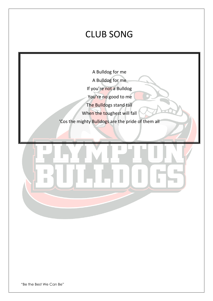# CLUB SONG

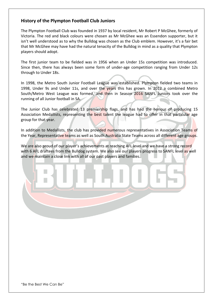#### **History of the Plympton Football Club Juniors**

The Plympton Football Club was founded in 1937 by local resident, Mr Robert P McGhee, formerly of Victoria. The red and black colours were chosen as Mr McGhee was an Essendon supporter, but it isn't well understood as to why the Bulldog was chosen as the Club emblem. However, it's a fair bet that Mr McGhee may have had the natural tenacity of the Bulldog in mind as a quality that Plympton players should adopt.

The first junior team to be fielded was in 1956 when an Under 15s competition was introduced. Since then, there has always been some form of under-age competition ranging from Under 12s through to Under 18s.

In 1998, the Metro South Junior Football League was established. Plympton fielded two teams in 1998, Under 9s and Under 11s, and over the years this has grown. In 2012 a combined Metro South/Metro West League was formed, and then in Season 2016 SANFL Juniors took over the running of all Junior football in SA.

The Junior Club has celebrated 13 premiership flags, and has had the honour of producing 15 Association Medallists, representing the best talent the league had to offer in that particular age group for that year.

In addition to Medallists, the club has provided numerous representatives in Association Teams of the Year, Representative teams as well as South Australia State Teams across all different age groups.

We are also proud of our player's achievements at reaching AFL level and we have a strong record with 6 AFL draftees from the Bulldog system. We also see our players progress to SANFL level as well and we maintain a close link with all of our past players and families.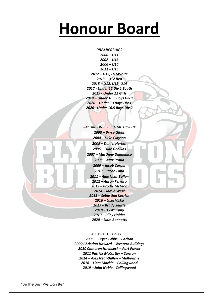# **Honour Board**

*PREMIERSHIPS – U11 – U13 – U14 – U15 – U12, U16White – U12 Red – U12, U13, U14 - Under 12 Div 1 South - Under 12 Girls – Under 16.5 Boys Div 1 – Under 13 Boys Div 1 - Under 16.5 Boys Div 2*

*JIM HINSON PERPETUAL TROPHY – Bryce Gibbs – Luke Clayson – Daniel Herbut – Luke Genikas – Matthew Delmenico – Max Proud – Jacob Carger – Jacob Laba – Alex Neal-Bullen – Aaron Ferraro – Brodie McLeod – Jamie West – Sebastian Kerrish – Luke Viska – Brady Searle – Ty Murphy – Riley Holder – Liam Bennetts*

#### AFL DRAFTED PLAYERS

*2006 Bryce Gibbs – Carlton 2009 Christian Howard – Western Bulldogs 2010 Cameron Hitchcock – Port Power Patrick McCarthy – Carlton – Alex Neal-Bullen – Melbourne – Liam Mackie – Collingwood – John Noble - Collingwood*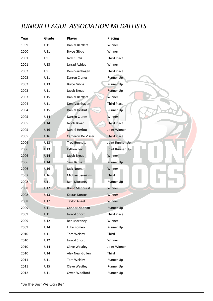## *JUNIOR LEAGUE ASSOCIATION MEDALLISTS*

| Year | Grade   | Player                | <b>Placing</b>     |
|------|---------|-----------------------|--------------------|
| 1999 | U11     | Daniel Bartlett       | Winner             |
| 2000 | U11     | <b>Bryce Gibbs</b>    | Winner             |
| 2001 | U9      | Jack Curtis           | <b>Third Place</b> |
| 2001 | U13     | Jarrad Ashley         | Winner             |
| 2002 | U9      | Deni Varnhagen        | Third Place        |
| 2002 | U11     | Darren Clunes         | <b>Runner Up</b>   |
| 2002 | U13     | <b>Bryce Gibbs</b>    | Runner Up          |
| 2003 | U11     | Jacob Broad           | <b>Runner Up</b>   |
| 2003 | U15     | Daniel Bartlett       | Winner             |
| 2004 | U11     | Deni Varnhagen        | Third Place        |
| 2004 | U15     | Daniel Herbut         | Runner Up          |
| 2005 | U14     | Darren Clunes         | Winner             |
| 2005 | U14     | Jacob Broad           | Third Place        |
| 2005 | U16     | Daniel Herbut         | Joint Winner       |
| 2005 | U16     | Cameron De Visser     | <b>Third Place</b> |
| 2006 | U13     | <b>Troy Bennett</b>   | Joint Runner Up    |
| 2006 | U13     | Lython Levi           | Joint Runner Up    |
| 2006 | U14     | Jacob Broad           | Winner             |
| 2006 | U14     | Sam Barnett           | <b>Runner Up</b>   |
| 2006 | U16     | Jack Noonan           | Winner             |
| 2007 | $U16 -$ | Michael Jennings      | Third              |
| 2008 | U11     | Ben Moroney           | <b>Runner Up</b>   |
| 2008 | U12     | <b>Brent Medhurst</b> | Winner             |
| 2008 | U13     | Kostas Kontos         | Winner             |
| 2008 | U17     | <b>Taylor Angel</b>   | Winner             |
| 2009 | U11     | <b>Connor Noonan</b>  | Runner Up          |
| 2009 | U11     | Jarrod Short          | <b>Third Place</b> |
| 2009 | U12     | <b>Ben Moroney</b>    | Winner             |
| 2009 | U14     | Luke Romeo            | Runner Up          |
| 2010 | U11     | Tom Welsby            | Third              |
| 2010 | U12     | Jarrod Short          | Winner             |
| 2010 | U14     | Cleve Westley         | Joint Winner       |
| 2010 | U14     | Alex Neal-Bullen      | Third              |
| 2011 | U11     | Tom Welsby            | Runner Up          |
| 2011 | U15     | Cleve Westley         | Runner Up          |
| 2012 | U11     | Owen Woolford         | Runner Up          |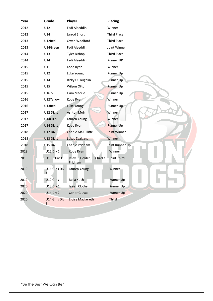| Year | Grade                         | Player                                 | <b>Placing</b>     |
|------|-------------------------------|----------------------------------------|--------------------|
| 2012 | U12                           | Fadi Alaeddin                          | Winner             |
| 2012 | U14                           | Jarrod Short                           | <b>Third Place</b> |
| 2013 | U12Red                        | Owen Woolford                          | <b>Third Place</b> |
| 2013 | U14Green                      | Fadi Alaeddin                          | Joint Winner       |
| 2014 | U13                           | <b>Tyler Bishop</b>                    | <b>Third Place</b> |
| 2014 | U14                           | Fadi Alaeddin                          | Runner UP          |
| 2015 | U11                           | Kobe Ryan                              | Winner             |
| 2015 | U12                           | Luke Young                             | Runner Up          |
| 2015 | U14                           | Ricky O'Loughlin                       | <b>Runner Up</b>   |
| 2015 | U15                           | Wilson Otto                            | <b>Runner Up</b>   |
| 2015 | U16.5                         | Liam Mackie                            | <b>Runner Up</b>   |
| 2016 | U12Yellow                     | Kobe Ryan                              | Winner             |
| 2016 | U13Red                        | Luke Young                             | Runner Up          |
| 2017 | U12 Div 1                     | <b>Ashton Moir</b>                     | Winner             |
| 2017 | U14Girls                      | Lauren Young                           | Winner             |
| 2017 | U14 Div 1                     | Kobe Ryan                              | <b>Runner Up</b>   |
| 2018 | <b>U12 Div 1</b>              | <b>Charlie McAulliffe</b>              | Joint Winner       |
| 2018 | <b>U13 Div 1</b>              | Lukas Zvaigzne                         | Winner             |
| 2018 | U15 Div                       | Charlie Pridham                        | Joint Runner Up    |
| 2019 | U15 Div 1                     | Kobe Ryan                              | Winner             |
| 2019 | U16.5 Div 1                   | Riley<br>Holder,<br>Charlie<br>Pridham | Joint Third        |
| 2019 | U16 Girls Div<br>$\mathbf{1}$ | Lauren Young                           | Winner             |
| 2019 | U12 Girls                     | Bella Koch                             | Runner Up          |
| 2020 | <b>U13 Div 1</b>              | Isaiah Clother                         | Runner Up          |
| 2020 | <b>U14 Div 2</b>              | <b>Conor Gluyas</b>                    | <b>Runner Up</b>   |
| 2020 | U14 Girls Div<br>3            | <b>Eloise Mackereth</b>                | Third              |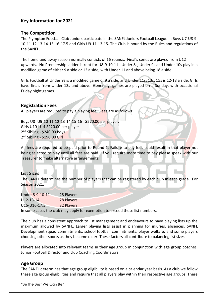#### **Key Information for 2021**

#### **The Competition**

The Plympton Football Club Juniors participate in the SANFL Juniors Football League in Boys U7-U8-9- 10-11-12-13-14-15-16-17.5 and Girls U9-11-13-15. The Club is bound by the Rules and regulations of the SANFL.

The home-and-away season normally consists of 16 rounds. Final's series are played from U12 upwards. No Premiership ladder is kept for U8-9-10-11. Under 8s, Under 9s and Under 10s play in a modified game of either 9 a side or 12 a side, with Under 11 and above being 18 a side.

Girls Football at Under 9s is a modified game of 9 a side, and Under 11s, 13s, 15s is 12-18 a side. Girls have finals from Under 13s and above. Generally, games are played on a Sunday, with occasional Friday night games.

#### **Registration Fees**

All players are required to pay a playing fee. Fees are as follows:

Boys U8- U9-10-11-12-13-14-15-16 - \$270.00 per player. Girls U10-U14 \$220.00 per player 2<sup>nd</sup> Sibling - \$240.00 Boys 2<sup>nd</sup> Sibling - \$190.00 G<mark>irl</mark>

All fees are required to be paid prior to Round 1. Failure to pay fees could result in that player not being selected to play until all fees are paid. If you require more time to pay please speak with our Treasurer to make alternative arrangements.

#### **List Sizes**

The SANFL determines the number of players that can be registered by each club in each grade. For Season 2021:

| Under 8-9-10-11 | 28 Players |
|-----------------|------------|
| $U12 - 13 - 14$ | 28 Players |
| U15-U16-17.5    | 32 Players |

In some cases the club may apply for exemption to exceed these list numbers.

The club has a consistent approach to list management and endeavours to have playing lists up the maximum allowed by SANFL. Larger playing lists assist in planning for injuries, absences, SANFL Development squad commitments, school football commitments, player welfare, and some players choosing other sports as they become older. These factors all contribute to balancing list sizes.

Players are allocated into relevant teams in their age group in conjunction with age group coaches, Junior Football Director and club Coaching Coordinators.

#### **Age Group**

The SANFL determines that age group eligibility is based on a calendar year basis. As a club we follow these age group eligibilities and require that all players play within their respective age groups. There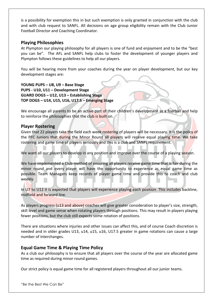is a possibility for exemption this in but such exemption is only granted in conjunction with the club and with club request to SANFL. All decisions on age group eligibility remain with the Club Junior Football Director and Coaching Coordinator.

#### **Playing Philosophies**

At Plympton our playing philosophy for all players is one of fund and enjoyment and to be the "best you can be". The AFL and SANFL help clubs to foster the development of younger players and Plympton follows these guidelines to help all our players.

You will be hearing more from your coaches during the year on player development, but our key development stages are:

**YOUNG PUPS – U8, U9 – Base Stage PUPS - U10, U11 – Development Stage GUARD DOGS – U12, U13 – Establishing Stage TOP DOGS – U14, U15, U16, U17.5 – Emerging Stage**

We encourage all parents to be an active part of their children's development as a football and help to reinforce the philosophies that the club is built on.

#### **Player Rostering**

Given that 22 players take the field each week rostering of players will be necessary. It is the policy of the PFC Juniors that during the Minor Round all players will receive equal playing time. We take rostering and game time of players seriously and this is a club and SANFL requirement.

We want all our players to develop in any position and improve over the course of a playing season.

We have implemented a Club method of ensuring all players receive game time that is fair during the minor round and every player will have the opportunity to experience as equal game time as possible. Team Managers keep records of player game time and provide this to coach and club weekly.

In U7 to U12 it is expected that players will experience playing each position. This includes backline, midfield and forward line.

As players progress (u13 and above) coaches will give greater consideration to player's size, strength, skill level and game sense when rotating players through positions. This may result in players playing fewer positions, but the club still expects some rotation of positions.

There are situations where injuries and other issues can affect this, and of course Coach discretion is needed and in older grades U13, u14, u15, u16, U17.5 greater in game rotations can cause a large number of interchanges.

#### **Equal Game Time & Playing Time Policy**

As a club our philosophy is to ensure that all players over the course of the year are allocated game time as required during minor round games.

Our strict policy is equal game time for all registered players throughout all our junior teams.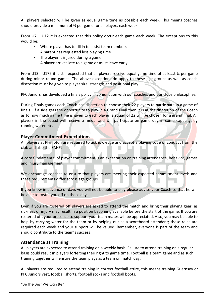All players selected will be given as equal game time as possible each week. This means coaches should provide a minimum of ¾ per game for all players each week.

From U7 – U12 it is expected that this policy occur each game each week. The exceptions to this would be:

- Where player has to fill in to assist team numbers
- A parent has requested less playing time
- The player is injured during a game
- A player arrives late to a game or must leave early

From U13 - U175 it is still expected that all players receive equal game time of at least ¾ per game during minor round games. The above exceptions do apply to these age groups as well as coach discretion must be given to player size, strength and positional play.

PFC Juniors has developed a finals policy in conjunction with our coaches and our clubs philosophies.

During Finals games each Coach has discretion to choose their 22 players to participate in a game of finals. If a side gets the opportunity to play in a Grand Final then it is at the discretion of the Coach as to how much game time is given to each player, a squad of 22 will be chosen for a grand final. All players in the squad will receive a medal and will participate on game day in some capacity, eg running water etc.

#### **Player Commitment Expectations**

All players at Plympton are required to acknowledge and accept a playing code of conduct from the club and also the SANFL.

A core fundamental of player commitment is an expectation on training attendance, behavior, games and injury management.

We encourage coaches to ensure that players are meeting their expected commitment levels and these requirements differ across age groups.

If you know in advance of days you will not be able to play please advise your Coach so that he will be able to roster you off on those days.

Even if you are rostered off players are asked to attend the match and bring their playing gear, as sickness or injury may result in a position becoming available before the start of the game. If you are rostered off, your presence to support your team mates will be appreciated. Also, you may be able to help by carrying water for the team or by helping out as a scoreboard attendant; these roles are required each week and your support will be valued. Remember, everyone is part of the team and should contribute to the team's success!

#### **Attendance at Training**

All players are expected to attend training on a weekly basis. Failure to attend training on a regular basis could result in players forfeiting their right to game time. Football is a team game and as such training together will ensure the team plays as a team on match day.

All players are required to attend training in correct football attire, this means training Guernsey or PFC Juniors vest, football shorts, football socks and football boots.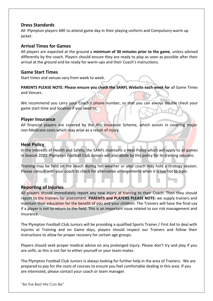#### **Dress Standards**

All Plympton players ARE to attend game day in their playing uniform and Compulsory warm up jacket.

#### **Arrival Times for Games**

All players are expected at the ground a **minimum of 30 minutes prior to the game**, unless advised differently by the coach. Players should ensure they are ready to play as soon as possible after their arrival at the ground and be ready for warm-ups and their Coach's instructions.

#### **Game Start Times**

Start times and venues vary from week to week.

**PARENTS PLEASE NOTE: Please ensure you check the SANFL Website each week for** all Game Times and Venues.

We recommend you carry your Coach's phone number, so that you can always double check your game start time and location if you need to.

#### **Player Insurance**

All financial players are covered by the AFL Insurance Scheme, which assists in covering major non-Medicare costs which may arise as a result of injury.

#### **Heat Policy**

In the interests of Health and Safety, the SANFL maintains a Heat Policy which will apply to all games in Season 2021. Plympton Football Club Juniors will also abide by this policy for its training sessions.

Training may be held on the beach during hot weather or your coach may hold a strategy session. Please consult with your coach to check for alternative arrangements when it is too hot to train.

#### **Reporting of Injuries**

All players should immediately report any new injury at training to their Coach. Then they should report to the trainers for assessment. **PARENTS and PLAYERS PLEASE NOTE:** we supply trainers and maintain their education for the benefit of you and your children. The Trainers will have the final say if a player is not to return to the field. This is an important issue related to our risk management and insurance.

The Plympton Football Club Juniors will be providing a qualified Sports Trainer / First Aid to deal with injuries at Training and on Game days, players should respect our Trainers and follow their instructions to allow for proper recovery for certain age groups.

Players should seek proper medical advice on any prolonged injury. Please don't try and play if you are unfit, as this is not fair to either yourself or your team-mates.

The Plympton Football Club Juniors is always looking for further help in the area of Trainers. We are prepared to pay for the costs of courses to ensure you feel comfortable dealing in this area. If you are interested, please contact your coach or team manager.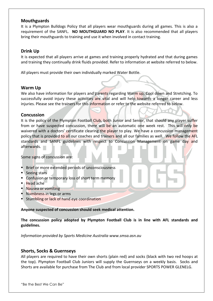#### **Mouthguards**

It is a Plympton Bulldogs Policy that all players wear mouthguards during all games. This is also a requirement of the SANFL. **NO MOUTHGUARD NO PLAY**. It is also recommended that all players bring their mouthguards to training and use it when involved in contact training.

#### **Drink Up**

It is expected that all players arrive at games and training properly hydrated and that during games and training they continually drink fluids provided. Refer to information at website referred to below.

All players must provide their own individually marked Water Bottle.

#### **Warm Up**

We also have information for players and parents regarding Warm up, Cool down and Stretching. To successfully avoid injury these activities are vital and will help towards a longer career and less injuries. Please see the trainers for this information or refer to the website referred to below.

#### **Concussion**

It is the policy of the Plympton Football Club, both Junior and Senior, that should any player suffer from or have suspected concussion, there will be an automatic one week rest. This will only be waivered with a doctors' certificate clearing the player to play. We have a concussion management policy that is provided to all our coaches and trainers and all our families as well. We follow the AFL standards and SANFL guidelines with respect to Concussion Management on game day and afterwards.

Some signs of concussion are:

- **EXECTE FIELE OF MOTE EXTENDED EXECTED** Brief or more extended periods of unconsciousness
- Seeing stars
- Confusion or temporary loss of short term memory
- Head ache
- **E** Nausea or vomiting
- **E** Numbness in legs or arms
- **E** Stumbling or lack of hand eye coordination

**Anyone suspected of concussion should seek medical attention.** 

**The concussion policy adopted by Plympton Football Club is in line with AFL standards and guidelines.**

*Information provided by Sports Medicine Australia [www.smsa.asn.au](http://www.smsa.asn.au/)*

#### **Shorts, Socks & Guernseys**

All players are required to have their own shorts (plain red) and socks (black with two red hoops at the top). Plympton Football Club Juniors will supply the Guernseys on a weekly basis. Socks and Shorts are available for purchase from The Club and from local provider SPORTS POWER GLENELG.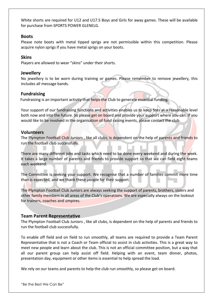White shorts are required for U12 and U17.5 Boys and Girls for away games. These will be available for purchase from SPORTS POWER GLENELG.

#### **Boots**

Please note boots with metal tipped sprigs are not permissible within this competition. Please acquire nylon sprigs if you have metal sprigs on your boots.

#### **Skins**

Players are allowed to wear "skins" under their shorts.

#### **Jewellery**

No jewellery is to be worn during training or games. Please remember to remove jewellery, this includes all message bands.

#### **Fundraising**

Fundraising is an important activity that helps the Club to generate essential funding.

Your support of our fundraising functions and activities enables us to keep fees at a reasonable level both now and into the future. So please get on board and provide your support where you can. If you would like to be involved in the organisation of fund raising events, please contact the club.

#### **Volunteers**

The Plympton Football Club Juniors, like all clubs, is dependent on the help of parents and friends to run the football club successfully.

There are many different jobs and tasks which need to be done every weekend and during the week. It takes a large number of parents and friends to provide support so that we can field eight teams each weekend.

The Committee is seeking your support. We recognise that a number of families commit more time than is expected, and we thank these people for their support.

The Plympton Football Club Juniors are always seeking the support of parents, brothers, sisters and other family members in all areas of the Club's operations. We are especially always on the lookout for trainers, coaches and umpires.

#### **Team Parent Representative**

The Plympton Football Club Juniors , like all clubs, is dependent on the help of parents and friends to run the football club successfully.

To enable off field and on field to run smoothly, all teams are required to provide a Team Parent Representative that is not a Coach or Team official to assist in club activities. This is a great way to meet new people and learn about the club. This is not an official committee position, but a way that all our parent group can help assist off field. Helping with an event, team dinner, photos, presentation day, equipment or other items is essential to help spread the load.

We rely on our teams and parents to help the club run smoothly, so please get on board.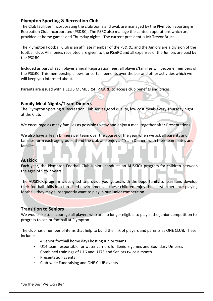#### **Plympton Sporting & Recreation Club**

The Club facilities, incorporating the clubrooms and oval, are managed by the Plympton Sporting & Recreation Club Incorporated (PS&RC). The PSRC also manage the canteen operations which are provided at home games and Thursday nights. The current president is Mr Trevor Bruce.

The Plympton Football Club is an affiliate member of the PS&RC, and the Juniors are a division of the football club. All monies receipted are given to the PS&RC and all expenses of the Juniors are paid by the PS&RC.

Included as part of each player annual Registration fees, all players/families will become members of the PS&RC. This membership allows for certain benefits over the bar and other activities which we will keep you informed about.

Parents are issued with a CLUB MEMBERSHIP CARD to access club benefits and prices.

#### **Family Meal Nights/Team Dinners**

The Plympton Sporting & Recreation Club serves good quality, low cost meals every Thursday night at the Club.

We encourage as many families as possible to stay and enjoy a meal together after Presentations.

We also have a Team Dinners per team over the course of the year when we ask all parents and families form each age group attend the club and enjoy a "Team Dinner" with their teammates and families.

#### **Auskick**

Each year, the Plympton Football Club Juniors conducts an AUSKICK program for children between the ages of 5 to 7 years.

The AUSKICK program is designed to provide youngsters with the opportunity to learn and develop their football skills in a fun-filled environment. If these children enjoy their first experience playing football, they may subsequently want to play in our junior competition.

#### **Transition to Seniors**

We would like to encourage all players who are no longer eligible to play in the junior competition to progress to senior football at Plympton.

The club has a number of items that help to build the link of players and parents as ONE CLUB. These include:

- 4 Senior football home days hosting Junior teams
- U14 team responsible for water carriers for Seniors games and Boundary Umpires
- Combined trainings of U16 and U175 and Seniors twice a month
- Presentation Events
- Club-wide Fundraising and ONE CLUB events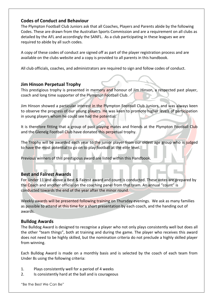#### **Codes of Conduct and Behaviour**

The Plympton Football Club Juniors ask that all Coaches, Players and Parents abide by the following Codes. These are drawn from the Australian Sports Commission and are a requirement on all clubs as detailed by the AFL and accordingly the SANFL. As a club participating in these leagues we are required to abide by all such codes.

A copy of these codes of conduct are signed off as part of the player registration process and are available on the clubs website and a copy is provided to all parents in this handbook.

All club officials, coaches, and administrators are required to sign and follow codes of conduct.

#### **Jim Hinson Perpetual Trophy**

This prestigious trophy is presented in memory and honour of Jim Hinson, a respected past player, coach and long time supporter of the Plympton Football Club.

Jim Hinson showed a particular interest in the Plympton Football Club Juniors, and was always keen to observe the progress of our young players. He was keen to promote higher levels of participation in young players whom he could see had the potential.

It is therefore fitting that a group of past playing mates and friends at the Plympton Football Club and the Glenelg Football Club have donated this perpetual trophy.

The Trophy will be awarded each year to the junior player from our oldest age group who is judged to have the most potential to go on to play football at the elite level.

Previous winners of this prestigious award are listed within this Handbook.

#### **Best and Fairest Awards**

For Under 11 and above a Best & Fairest award and count is conducted. These votes are prepared by the Coach and another official on the coaching panel from that team. An annual "count" is conducted towards the end of the year after the minor round.

Weekly awards will be presented following training on Thursday evenings. We ask as many families as possible to attend at this time for a short presentation by each coach, and the handing out of awards.

#### **Bulldog Awards**

The Bulldog Award is designed to recognise a player who not only plays consistently well but does all the other "team things", both at training and during the game. The player who receives this award does not need to be highly skilled, but the nomination criteria do not preclude a highly skilled player from winning.

Each Bulldog Award is made on a monthly basis and is selected by the coach of each team from Under 8s using the following criteria:

- 1. Plays consistently well for a period of 4 weeks
- 2. Is consistently hard at the ball and is courageous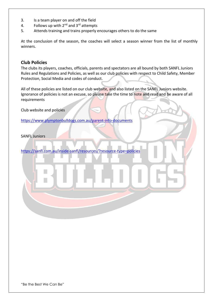- 3. Is a team player on and off the field
- 4. Follows up with  $2^{nd}$  and  $3^{rd}$  attempts
- 5. Attends training and trains properly encourages others to do the same

At the conclusion of the season, the coaches will select a season winner from the list of monthly winners.

#### **Club Policies**

The clubs its players, coaches, officials, parents and spectators are all bound by both SANFL Juniors Rules and Regulations and Policies, as well as our club policies with respect to Child Safety, Member Protection, Social Media and codes of conduct.

All of these policies are listed on our club website, and also listed on the SANFL Juniors website. Ignorance of policies is not an excuse, so please take the time to note and read and be aware of all requirements

Club website and policies

<https://www.plymptonbulldogs.com.au/parent-info-documents>

SANFL Juniors

<https://sanfl.com.au/inside-sanfl/resources/?resource-type=policies>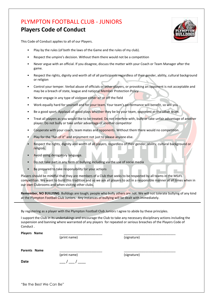### PLYMPTON FOOTBALL CLUB - JUNIORS **Players Code of Conduct**



This Code of Conduct applies to all of our Players.

- Play by the rules (of both the laws of the Game and the rules of my club).
- Respect the umpire's decision. Without them there would not be a competition
- Never argue with an official. If you disagree, discuss the matter with your Coach or Team Manager after the game.
- Respect the rights, dignity and worth all of all participants regardless of their gender, ability, cultural background or religion
- Control your temper. Verbal abuse of officials or other players, or provoking an opponent is not acceptable and may be a breach of state, league and national Member Protection Policy
- Never engage in any type of violence either on or off the field
- Work equally hard for yourself and for your team. Your team's performance will benefit, so will you.
- Be a good sport. Applaud all good plays whether they be by your team, opponent or the other team.
- Treat all players as you would like to be treated. Do not interfere with, bully or take unfair advantage of another player. Do not bully or take unfair advantage of another competitor
- Cooperate with your coach, team mates and opponents. Without them there would no competition.
- Play for the "fun of it" and enjoyment not just to please anyone else.
- Respect the rights, dignity and worth of all players, regardless of their gender, ability, cultural background or religion.
- Avoid using derogatory language.
- Do not take part in any form of bullying including via the use of social media
- Be prepared to take responsibility for your actions

Players should be mindful that they are members of a Club that seeks to be respected by all teams in the MSJFL competition. We want to build this tradition and so we ask all players to act in a responsible manner at all times when in our own Clubrooms and when visiting other clubs.

**Remember, NO BULLYING**. Bulldogs are tough; people who bully others are not. We will not tolerate bullying of any kind at the Plympton Football Club Juniors. Any instances of bullying will be dealt with immediately.

By registering as a player with the Plympton Football Club Juniors I agree to abide by these principles.

I support the Club in its undertakings and encourage the Club to take any necessary disciplinary actions including the suspension and banning where warranted of any players for repeated or serious breaches of the Players Code of Conduct .

| Players Name |              |             |  |
|--------------|--------------|-------------|--|
|              | (print name) | (signature) |  |
|              |              |             |  |

Parents Name

(print name) (signature)

**Date**  $\begin{array}{cccc} & & & & \end{array}$